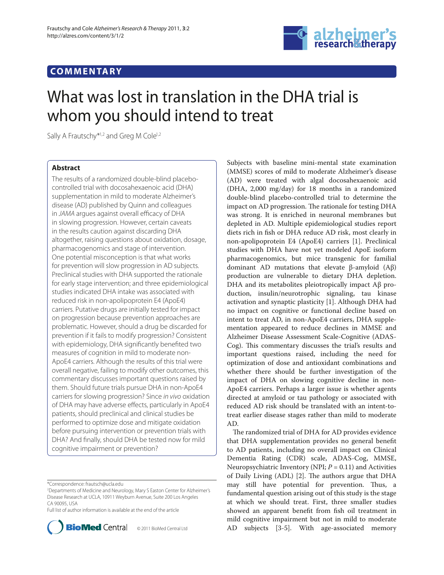## **COMMENTARY**



# What was lost in translation in the DHA trial is whom you should intend to treat

Sally A Frautschy<sup>\*1,2</sup> and Greg M Cole<sup>1,2</sup>

## **Abstract**

The results of a randomized double-blind placebocontrolled trial with docosahexaenoic acid (DHA) supplementation in mild to moderate Alzheimer's disease (AD) published by Quinn and colleagues in JAMA argues against overall efficacy of DHA in slowing progression. However, certain caveats in the results caution against discarding DHA altogether, raising questions about oxidation, dosage, pharmacogenomics and stage of intervention. One potential misconception is that what works for prevention will slow progression in AD subjects. Preclinical studies with DHA supported the rationale for early stage intervention; and three epidemiological studies indicated DHA intake was associated with reduced risk in non-apolipoprotein E4 (ApoE4) carriers. Putative drugs are initially tested for impact on progression because prevention approaches are problematic. However, should a drug be discarded for prevention if it fails to modify progression? Consistent with epidemiology, DHA significantly benefited two measures of cognition in mild to moderate non-ApoE4 carriers. Although the results of this trial were overall negative, failing to modify other outcomes, this commentary discusses important questions raised by them. Should future trials pursue DHA in non-ApoE4 carriers for slowing progression? Since in vivo oxidation of DHA may have adverse effects, particularly in ApoE4 patients, should preclinical and clinical studies be performed to optimize dose and mitigate oxidation before pursuing intervention or prevention trials with DHA? And finally, should DHA be tested now for mild cognitive impairment or prevention?

Full list of author information is available at the end of the article



Subjects with baseline mini-mental state examination (MMSE) scores of mild to moderate Alzheimer's disease (AD) were treated with algal docosahexaenoic acid (DHA, 2,000 mg/day) for 18 months in a randomized double-blind placebo-controlled trial to determine the impact on AD progression. The rationale for testing DHA was strong. It is enriched in neuronal membranes but depleted in AD. Multiple epidemiological studies report diets rich in fish or DHA reduce AD risk, most clearly in non-apolipoprotein E4 (ApoE4) carriers [1]. Preclinical studies with DHA have not yet modeled ApoE isoform pharmacogenomics, but mice transgenic for familial dominant AD mutations that elevate β-amyloid (Aβ) production are vulnerable to dietary DHA depletion. DHA and its metabolites pleiotropically impact Aβ production, insulin/neurotrophic signaling, tau kinase activation and synaptic plasticity [1]. Although DHA had no impact on cognitive or functional decline based on intent to treat AD, in non-ApoE4 carriers, DHA supplementation appeared to reduce declines in MMSE and Alzheimer Disease Assessment Scale-Cognitive (ADAS-Cog). This commentary discusses the trial's results and important questions raised, including the need for optimization of dose and antioxidant combinations and whether there should be further investigation of the impact of DHA on slowing cognitive decline in non-ApoE4 carriers. Perhaps a larger issue is whether agents directed at amyloid or tau pathology or associated with reduced AD risk should be translated with an intent-totreat earlier disease stages rather than mild to moderate AD.

The randomized trial of DHA for AD provides evidence that DHA supplementation provides no general benefit to AD patients, including no overall impact on Clinical Dementia Rating (CDR) scale, ADAS-Cog, MMSE, Neuropsychiatric Inventory (NPI; *P* = 0.11) and Activities of Daily Living (ADL) [2]. The authors argue that DHA may still have potential for prevention. Thus, a fundamental question arising out of this study is the stage at which we should treat. First, three smaller studies showed an apparent benefit from fish oil treatment in mild cognitive impairment but not in mild to moderate AD subjects [3-5]. With age-associated memory

<sup>\*</sup>Correspondence: frautsch@ucla.edu

<sup>2</sup> Departments of Medicine and Neurology, Mary S Easton Center for Alzheimer's Disease Research at UCLA, 10911 Weyburn Avenue, Suite 200 Los Angeles CA 90095, USA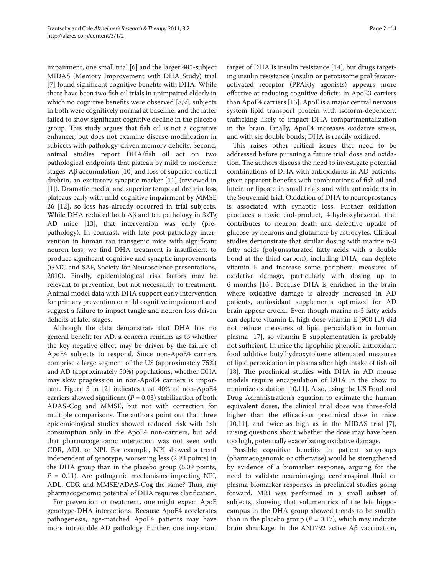impairment, one small trial [6] and the larger 485-subject MIDAS (Memory Improvement with DHA Study) trial [7] found significant cognitive benefits with DHA. While there have been two fish oil trials in unimpaired elderly in which no cognitive benefits were observed [8,9], subjects in both were cognitively normal at baseline, and the latter failed to show significant cognitive decline in the placebo group. This study argues that fish oil is not a cognitive enhancer, but does not examine disease modification in subjects with pathology-driven memory deficits. Second, animal studies report DHA/fish oil act on two pathological endpoints that plateau by mild to moderate stages: Aβ accumulation [10] and loss of superior cortical drebrin, an excitatory synaptic marker [11] (reviewed in [1]). Dramatic medial and superior temporal drebrin loss plateaus early with mild cognitive impairment by MMSE 26 [12], so loss has already occurred in trial subjects. While DHA reduced both Aβ and tau pathology in 3xTg AD mice [13], that intervention was early (prepathology). In contrast, with late post-pathology intervention in human tau transgenic mice with significant neuron loss, we find DHA treatment is insufficient to produce significant cognitive and synaptic improvements (GMC and SAF, Society for Neuroscience presentations, 2010). Finally, epidemiological risk factors may be relevant to prevention, but not necessarily to treatment. Animal model data with DHA support early intervention for primary prevention or mild cognitive impairment and suggest a failure to impact tangle and neuron loss driven deficits at later stages.

Although the data demonstrate that DHA has no general benefit for AD, a concern remains as to whether the key negative effect may be driven by the failure of ApoE4 subjects to respond. Since non-ApoE4 carriers comprise a large segment of the US (approximately 75%) and AD (approximately 50%) populations, whether DHA may slow progression in non-ApoE4 carriers is important. Figure 3 in [2] indicates that 40% of non-ApoE4 carriers showed significant  $(P = 0.03)$  stabilization of both ADAS-Cog and MMSE, but not with correction for multiple comparisons. The authors point out that three epidemiological studies showed reduced risk with fish consumption only in the ApoE4 non-carriers, but add that pharmacogenomic interaction was not seen with CDR, ADL or NPI. For example, NPI showed a trend independent of genotype, worsening less (2.93 points) in the DHA group than in the placebo group (5.09 points,  $P = 0.11$ ). Are pathogenic mechanisms impacting NPI, ADL, CDR and MMSE/ADAS-Cog the same? Thus, any pharmacogenomic potential of DHA requires clarification.

For prevention or treatment, one might expect ApoE genotype-DHA interactions. Because ApoE4 accelerates pathogenesis, age-matched ApoE4 patients may have more intractable AD pathology. Further, one important target of DHA is insulin resistance [14], but drugs targeting insulin resistance (insulin or peroxisome proliferatoractivated receptor (PPAR)γ agonists) appears more effective at reducing cognitive deficits in ApoE3 carriers than ApoE4 carriers [15]. ApoE is a major central nervous system lipid transport protein with isoform-dependent trafficking likely to impact DHA compartmentalization in the brain. Finally, ApoE4 increases oxidative stress, and with six double bonds, DHA is readily oxidized.

This raises other critical issues that need to be addressed before pursuing a future trial: dose and oxidation. The authors discuss the need to investigate potential combinations of DHA with antioxidants in AD patients, given apparent benefits with combinations of fish oil and lutein or lipoate in small trials and with antioxidants in the Souvenaid trial. Oxidation of DHA to neuroprostanes is associated with synaptic loss. Further oxidation produces a toxic end-product, 4-hydroxyhexenal, that contributes to neuron death and defective uptake of glucose by neurons and glutamate by astrocytes. Clinical studies demonstrate that similar dosing with marine n-3 fatty acids (polyunsaturated fatty acids with a double bond at the third carbon), including DHA, can deplete vitamin E and increase some peripheral measures of oxidative damage, particularly with dosing up to 6 months [16]. Because DHA is enriched in the brain where oxidative damage is already increased in AD patients, antioxidant supplements optimized for AD brain appear crucial. Even though marine n-3 fatty acids can deplete vitamin E, high dose vitamin E (900 IU) did not reduce measures of lipid peroxidation in human plasma [17], so vitamin E supplementation is probably not sufficient. In mice the lipophilic phenolic antioxidant food additive butylhydroxytoluene attenuated measures of lipid peroxidation in plasma after high intake of fish oil [18]. The preclinical studies with DHA in AD mouse models require encapsulation of DHA in the chow to minimize oxidation [10,11]. Also, using the US Food and Drug Administration's equation to estimate the human equivalent doses, the clinical trial dose was three-fold higher than the efficacious preclinical dose in mice [10,11], and twice as high as in the MIDAS trial [7], raising questions about whether the dose may have been too high, potentially exacerbating oxidative damage.

Possible cognitive benefits in patient subgroups (pharma cogenomic or otherwise) would be strengthened by evidence of a biomarker response, arguing for the need to validate neuroimaging, cerebrospinal fluid or plasma biomarker responses in preclinical studies going forward. MRI was performed in a small subset of subjects, showing that volumentrics of the left hippocampus in the DHA group showed trends to be smaller than in the placebo group ( $P = 0.17$ ), which may indicate brain shrinkage. In the AN1792 active Aβ vaccination,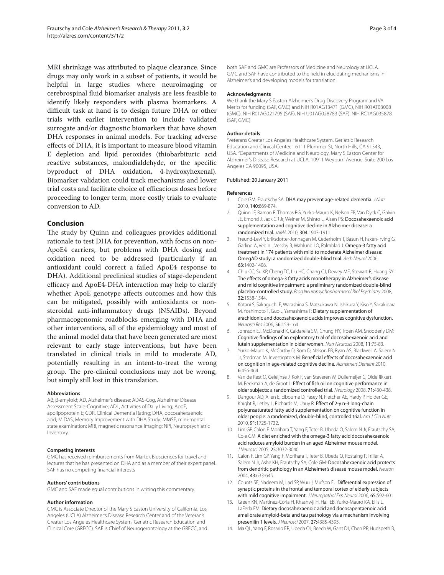MRI shrinkage was attributed to plaque clearance. Since drugs may only work in a subset of patients, it would be helpful in large studies where neuroimaging or cerebrospinal fluid biomarker analysis are less feasible to identify likely responders with plasma biomarkers. A difficult task at hand is to design future DHA or other trials with earlier intervention to include validated surrogate and/or diagnostic biomarkers that have shown DHA responses in animal models. For tracking adverse effects of DHA, it is important to measure blood vitamin E depletion and lipid peroxides (thiobarbituric acid reactive substances, malondialdehyde, or the specific byproduct of DHA oxidation, 4-hydroxyhexenal). Biomarker validation could track mechanisms and lower trial costs and facilitate choice of efficacious doses before proceeding to longer term, more costly trials to evaluate conversion to AD.

## **Conclusion**

The study by Quinn and colleagues provides additional rationale to test DHA for prevention, with focus on non-ApoE4 carriers, but problems with DHA dosing and oxidation need to be addressed (particularly if an antioxidant could correct a failed ApoE4 response to DHA). Additional preclinical studies of stage-dependent efficacy and ApoE4-DHA interaction may help to clarify whether ApoE genotype affects outcomes and how this can be mitigated, possibly with antioxidants or nonsteroidal anti-inflammatory drugs (NSAIDs). Beyond pharmacogenomic roadblocks emerging with DHA and other interventions, all of the epidemiology and most of the animal model data that have been generated are most relevant to early stage interventions, but have been translated in clinical trials in mild to moderate AD, potentially resulting in an intent-to-treat the wrong group. The pre-clinical conclusions may not be wrong, but simply still lost in this translation.

#### **Abbreviations**

Aβ, β-amyloid; AD, Alzheimer's disease; ADAS-Cog, Alzheimer Disease Assessment Scale-Cognitive; ADL, Activities of Daily Living; ApoE, apolipoprotein E; CDR, Clinical Dementia Rating; DHA, docosahexaenoic acid; MIDAS, Memory Improvement with DHA Study; MMSE, mini-mental state examination; MRI, magnetic resonance imaging; NPI, Neuropsychiatric Inventory.

#### **Competing interests**

GMC has received reimbursements from Martek Biosciences for travel and lectures that he has presented on DHA and as a member of their expert panel. SAF has no competing financial interests

#### **Authors' contributions**

GMC and SAF made equal contributions in writing this commentary.

#### **Author information**

GMC is Associate Director of the Mary S Easton University of California, Los Angeles (UCLA) Alzheimer's Disease Research Center and of the Veteran's Greater Los Angeles Healthcare System, Geriatric Research Education and Clinical Core (GRECC). SAF is Chief of Neurogerontology at the GRECC, and both SAF and GMC are Professors of Medicine and Neurology at UCLA. GMC and SAF have contributed to the field in elucidating mechanisms in Alzheimer's and developing models for translation.

#### **Acknowledgments**

We thank the Mary S Easton Alzheimer's Drug Discovery Program and VA Merits for funding (SAF, GMC) and NIH R01AG13471 (GMC), NIH R01AT03008 (GMC), NIH R01AG021795 (SAF), NIH U01AG028783 (SAF), NIH RC1AG035878 (SAF, GMC).

#### **Author details**

1 Veterans Greater Los Angeles Healthcare System, Geriatric Research Education and Clinical Center, 16111 Plummer St, North Hills, CA 91343, USA. 2 Departments of Medicine and Neurology, Mary S Easton Center for Alzheimer's Disease Research at UCLA, 10911 Weyburn Avenue, Suite 200 Los Angeles CA 90095, USA.

#### Published: 20 January 2011

#### **References**

- 1. Cole GM, Frautschy SA: DHA may prevent age-related dementia. J Nutr 2010, 140:869-874.
- 2. Quinn JF, Raman R, Thomas RG, Yurko-Mauro K, Nelson EB, Van Dyck C, Galvin JE, Emond J, Jack CR Jr, Weiner M, Shinto L, Aisen PS: Docosahexaenoic acid supplementation and cognitive decline in Alzheimer disease: a randomized trial. JAMA 2010, 304:1903-1911.
- 3. Freund-Levi Y, Eriksdotter-Jonhagen M, Cederholm T, Basun H, Faxen-Irving G, Garlind A, Vedin I, Vessby B, Wahlund LO, Palmblad J: Omega-3 fatty acid treatment in 174 patients with mild to moderate Alzheimer disease: OmegAD study: a randomized double-blind trial. Arch Neurol 2006, 63:1402-1408.
- 4. Chiu CC, Su KP, Cheng TC, Liu HC, Chang CJ, Dewey ME, Stewart R, Huang SY: The effects of omega-3 fatty acids monotherapy in Alzheimer's disease and mild cognitive impairment: a preliminary randomized double-blind placebo-controlled study. Prog Neuropsychopharmacol Biol Psychiatry 2008, 32:1538-1544.
- 5. Kotani S, Sakaguchi E, Warashina S, Matsukawa N, Ishikura Y, Kiso Y, Sakakibara M, Yoshimoto T, Guo J, Yamashima T: Dietary supplementation of arachidonic and docosahexaenoic acids improves cognitive dysfunction. Neurosci Res 2006, 56:159-164.
- 6. Johnson EJ, McDonald K, Caldarella SM, Chung HY, Troen AM, Snodderly DM: Cognitive findings of an exploratory trial of docosahexaenoic acid and lutein supplementation in older women. Nutr Neurosci 2008, 11:75-83.
- Yurko-Mauro K, McCarthy D, Rom D, Nelson EB, Ryan AS, Blackwell A, Salem N Jr, Stedman M, Investigators M: Beneficial effects of docosahexaenoic acid on cognition in age-related cognitive decline. Alzheimers Dement 2010, 6:456-464.
- 8. Van de Rest O, Geleijnse J, Kok F, van Staveren W, Dullemeijer C, OldeRikkert M, Beekman A, de Groot L: Effect of fish oil on cognitive performance in older subjects: a randomized controlled trial. Neurology 2008, 71:430-438.
- Dangour AD, Allen E, Elbourne D, Fasey N, Fletcher AE, Hardy P, Holder GE, Knight R, Letley L, Richards M, Uauy R: Effect of 2-y n-3 long-chain polyunsaturated fatty acid supplementation on cognitive function in older people: a randomized, double-blind, controlled trial. Am J Clin Nutr 2010, 91:1725-1732.
- 10. Lim GP, Calon F, Morihara T, Yang F, Teter B, Ubeda O, Salem N Jr, Frautschy SA, Cole GM: A diet enriched with the omega-3 fatty acid docosahexaenoic acid reduces amyloid burden in an aged Alzheimer mouse model. J Neurosci 2005, 25:3032-3040.
- 11. Calon F, Lim GP, Yang F, Morihara T, Teter B, Ubeda O, Rostaing P, Triller A, Salem N Jr, Ashe KH, Frautschy SA, Cole GM: Docosahexaenoic acid protects from dendritic pathology in an Alzheimer's disease mouse model. Neuron 2004, 43:633-645.
- 12. Counts SE, Nadeem M, Lad SP, Wuu J, Mufson EJ: Differential expression of synaptic proteins in the frontal and temporal cortex of elderly subjects with mild cognitive impairment. J Neuropathol Exp Neurol 2006, 65:592-601.
- 13. Green KN, Martinez-Coria H, Khashwji H, Hall EB, Yurko-Mauro KA, Ellis L, LaFerla FM: Dietary docosahexaenoic acid and docosapentaenoic acid ameliorate amyloid-beta and tau pathology via a mechanism involving presenilin 1 levels. J Neurosci 2007, 27:4385-4395.
- 14. Ma QL, Yang F, Rosario ER, Ubeda OJ, Beech W, Gant DJ, Chen PP, Hudspeth B,